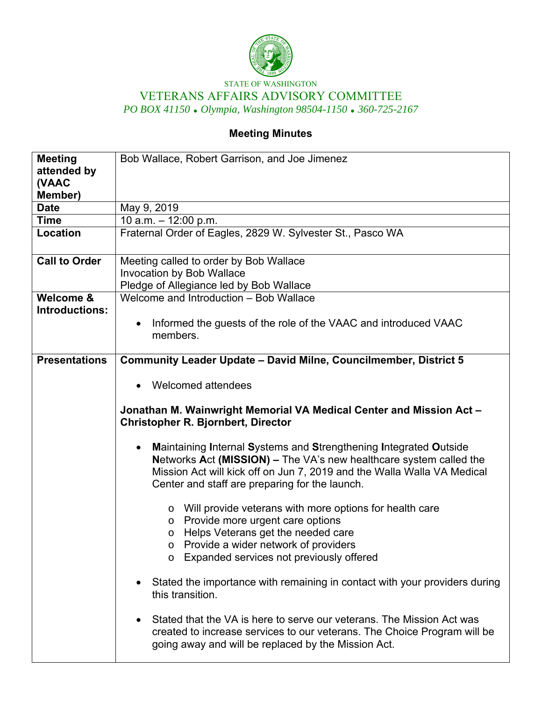

## STATE OF WASHINGTON VETERANS AFFAIRS ADVISORY COMMITTEE *PO BOX 41150 Olympia, Washington 98504-1150 360-725-2167*

## **Meeting Minutes**

| <b>Meeting</b><br>attended by<br>(VAAC<br>Member) | Bob Wallace, Robert Garrison, and Joe Jimenez                                                                                                                                                                                                                                                                                                                                                                                                                                                                                                                                                                                                                                                                                                                                                                                                                                                                                                                                                                                                                                                 |
|---------------------------------------------------|-----------------------------------------------------------------------------------------------------------------------------------------------------------------------------------------------------------------------------------------------------------------------------------------------------------------------------------------------------------------------------------------------------------------------------------------------------------------------------------------------------------------------------------------------------------------------------------------------------------------------------------------------------------------------------------------------------------------------------------------------------------------------------------------------------------------------------------------------------------------------------------------------------------------------------------------------------------------------------------------------------------------------------------------------------------------------------------------------|
| <b>Date</b>                                       | May 9, 2019                                                                                                                                                                                                                                                                                                                                                                                                                                                                                                                                                                                                                                                                                                                                                                                                                                                                                                                                                                                                                                                                                   |
| <b>Time</b>                                       | 10 a.m. $-$ 12:00 p.m.                                                                                                                                                                                                                                                                                                                                                                                                                                                                                                                                                                                                                                                                                                                                                                                                                                                                                                                                                                                                                                                                        |
| Location                                          | Fraternal Order of Eagles, 2829 W. Sylvester St., Pasco WA                                                                                                                                                                                                                                                                                                                                                                                                                                                                                                                                                                                                                                                                                                                                                                                                                                                                                                                                                                                                                                    |
| <b>Call to Order</b>                              | Meeting called to order by Bob Wallace<br><b>Invocation by Bob Wallace</b><br>Pledge of Allegiance led by Bob Wallace                                                                                                                                                                                                                                                                                                                                                                                                                                                                                                                                                                                                                                                                                                                                                                                                                                                                                                                                                                         |
| Welcome &<br>Introductions:                       | Welcome and Introduction - Bob Wallace<br>Informed the guests of the role of the VAAC and introduced VAAC<br>$\bullet$<br>members.                                                                                                                                                                                                                                                                                                                                                                                                                                                                                                                                                                                                                                                                                                                                                                                                                                                                                                                                                            |
| <b>Presentations</b>                              | <b>Community Leader Update - David Milne, Councilmember, District 5</b><br>Welcomed attendees<br>Jonathan M. Wainwright Memorial VA Medical Center and Mission Act -<br><b>Christopher R. Bjornbert, Director</b><br>Maintaining Internal Systems and Strengthening Integrated Outside<br>$\bullet$<br>Networks Act (MISSION) - The VA's new healthcare system called the<br>Mission Act will kick off on Jun 7, 2019 and the Walla Walla VA Medical<br>Center and staff are preparing for the launch.<br>o Will provide veterans with more options for health care<br>o Provide more urgent care options<br>Helps Veterans get the needed care<br>$\circ$<br>Provide a wider network of providers<br>∩<br>o Expanded services not previously offered<br>Stated the importance with remaining in contact with your providers during<br>$\bullet$<br>this transition.<br>Stated that the VA is here to serve our veterans. The Mission Act was<br>$\bullet$<br>created to increase services to our veterans. The Choice Program will be<br>going away and will be replaced by the Mission Act. |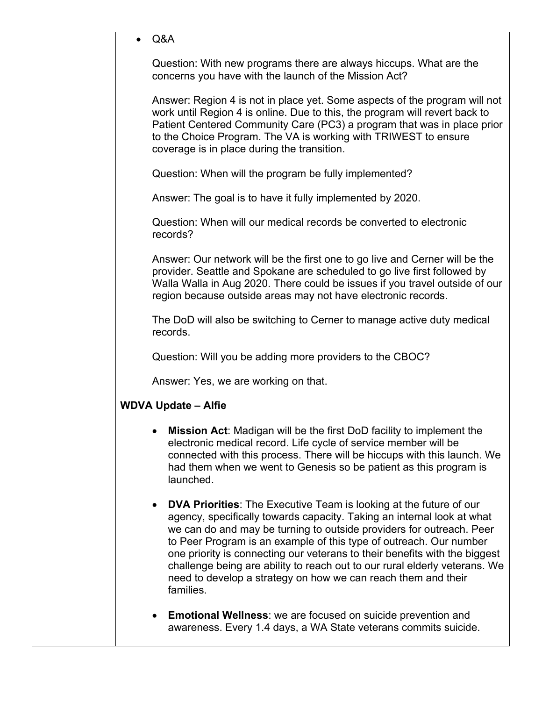|  | Q&A                                                                                                                                                                                                                                                                                                                                                                                                                                                                                                                                         |
|--|---------------------------------------------------------------------------------------------------------------------------------------------------------------------------------------------------------------------------------------------------------------------------------------------------------------------------------------------------------------------------------------------------------------------------------------------------------------------------------------------------------------------------------------------|
|  | Question: With new programs there are always hiccups. What are the<br>concerns you have with the launch of the Mission Act?                                                                                                                                                                                                                                                                                                                                                                                                                 |
|  | Answer: Region 4 is not in place yet. Some aspects of the program will not<br>work until Region 4 is online. Due to this, the program will revert back to<br>Patient Centered Community Care (PC3) a program that was in place prior<br>to the Choice Program. The VA is working with TRIWEST to ensure<br>coverage is in place during the transition.                                                                                                                                                                                      |
|  | Question: When will the program be fully implemented?                                                                                                                                                                                                                                                                                                                                                                                                                                                                                       |
|  | Answer: The goal is to have it fully implemented by 2020.                                                                                                                                                                                                                                                                                                                                                                                                                                                                                   |
|  | Question: When will our medical records be converted to electronic<br>records?                                                                                                                                                                                                                                                                                                                                                                                                                                                              |
|  | Answer: Our network will be the first one to go live and Cerner will be the<br>provider. Seattle and Spokane are scheduled to go live first followed by<br>Walla Walla in Aug 2020. There could be issues if you travel outside of our<br>region because outside areas may not have electronic records.                                                                                                                                                                                                                                     |
|  | The DoD will also be switching to Cerner to manage active duty medical<br>records.                                                                                                                                                                                                                                                                                                                                                                                                                                                          |
|  | Question: Will you be adding more providers to the CBOC?                                                                                                                                                                                                                                                                                                                                                                                                                                                                                    |
|  | Answer: Yes, we are working on that.                                                                                                                                                                                                                                                                                                                                                                                                                                                                                                        |
|  | <b>WDVA Update - Alfie</b>                                                                                                                                                                                                                                                                                                                                                                                                                                                                                                                  |
|  | Mission Act: Madigan will be the first DoD facility to implement the<br>electronic medical record. Life cycle of service member will be<br>connected with this process. There will be hiccups with this launch. We<br>had them when we went to Genesis so be patient as this program is<br>launched.                                                                                                                                                                                                                                        |
|  | <b>DVA Priorities:</b> The Executive Team is looking at the future of our<br>agency, specifically towards capacity. Taking an internal look at what<br>we can do and may be turning to outside providers for outreach. Peer<br>to Peer Program is an example of this type of outreach. Our number<br>one priority is connecting our veterans to their benefits with the biggest<br>challenge being are ability to reach out to our rural elderly veterans. We<br>need to develop a strategy on how we can reach them and their<br>families. |
|  | <b>Emotional Wellness:</b> we are focused on suicide prevention and<br>awareness. Every 1.4 days, a WA State veterans commits suicide.                                                                                                                                                                                                                                                                                                                                                                                                      |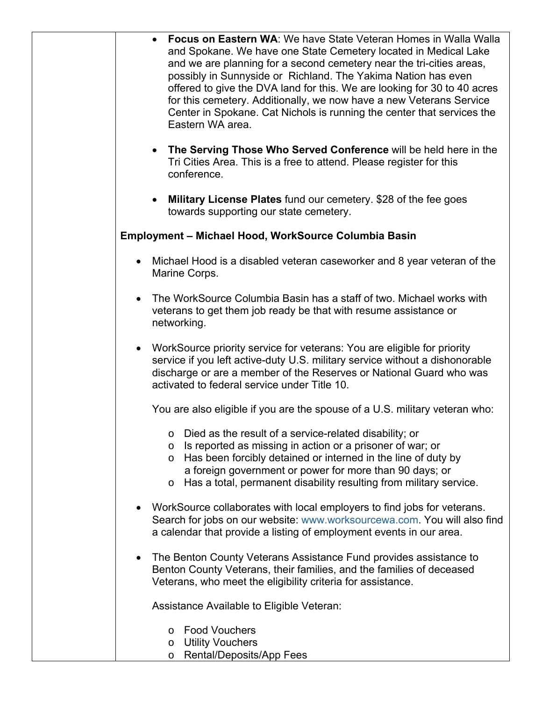| <b>Focus on Eastern WA: We have State Veteran Homes in Walla Walla</b><br>and Spokane. We have one State Cemetery located in Medical Lake<br>and we are planning for a second cemetery near the tri-cities areas,<br>possibly in Sunnyside or Richland. The Yakima Nation has even<br>offered to give the DVA land for this. We are looking for 30 to 40 acres<br>for this cemetery. Additionally, we now have a new Veterans Service<br>Center in Spokane. Cat Nichols is running the center that services the<br>Eastern WA area. |
|-------------------------------------------------------------------------------------------------------------------------------------------------------------------------------------------------------------------------------------------------------------------------------------------------------------------------------------------------------------------------------------------------------------------------------------------------------------------------------------------------------------------------------------|
| • The Serving Those Who Served Conference will be held here in the<br>Tri Cities Area. This is a free to attend. Please register for this<br>conference.                                                                                                                                                                                                                                                                                                                                                                            |
| Military License Plates fund our cemetery. \$28 of the fee goes<br>$\bullet$<br>towards supporting our state cemetery.                                                                                                                                                                                                                                                                                                                                                                                                              |
| <b>Employment - Michael Hood, WorkSource Columbia Basin</b>                                                                                                                                                                                                                                                                                                                                                                                                                                                                         |
| Michael Hood is a disabled veteran caseworker and 8 year veteran of the<br>Marine Corps.                                                                                                                                                                                                                                                                                                                                                                                                                                            |
| The WorkSource Columbia Basin has a staff of two. Michael works with<br>veterans to get them job ready be that with resume assistance or<br>networking.                                                                                                                                                                                                                                                                                                                                                                             |
| WorkSource priority service for veterans: You are eligible for priority<br>service if you left active-duty U.S. military service without a dishonorable<br>discharge or are a member of the Reserves or National Guard who was<br>activated to federal service under Title 10.                                                                                                                                                                                                                                                      |
| You are also eligible if you are the spouse of a U.S. military veteran who:                                                                                                                                                                                                                                                                                                                                                                                                                                                         |
| Died as the result of a service-related disability; or<br>O<br>Is reported as missing in action or a prisoner of war; or<br>O<br>Has been forcibly detained or interned in the line of duty by<br>O<br>a foreign government or power for more than 90 days; or<br>Has a total, permanent disability resulting from military service.<br>O                                                                                                                                                                                           |
| WorkSource collaborates with local employers to find jobs for veterans.<br>Search for jobs on our website: www.worksourcewa.com. You will also find<br>a calendar that provide a listing of employment events in our area.                                                                                                                                                                                                                                                                                                          |
| The Benton County Veterans Assistance Fund provides assistance to<br>Benton County Veterans, their families, and the families of deceased<br>Veterans, who meet the eligibility criteria for assistance.                                                                                                                                                                                                                                                                                                                            |
| Assistance Available to Eligible Veteran:                                                                                                                                                                                                                                                                                                                                                                                                                                                                                           |
| <b>Food Vouchers</b><br>$\circ$<br><b>Utility Vouchers</b><br>$\circ$<br>Rental/Deposits/App Fees<br>$\circ$                                                                                                                                                                                                                                                                                                                                                                                                                        |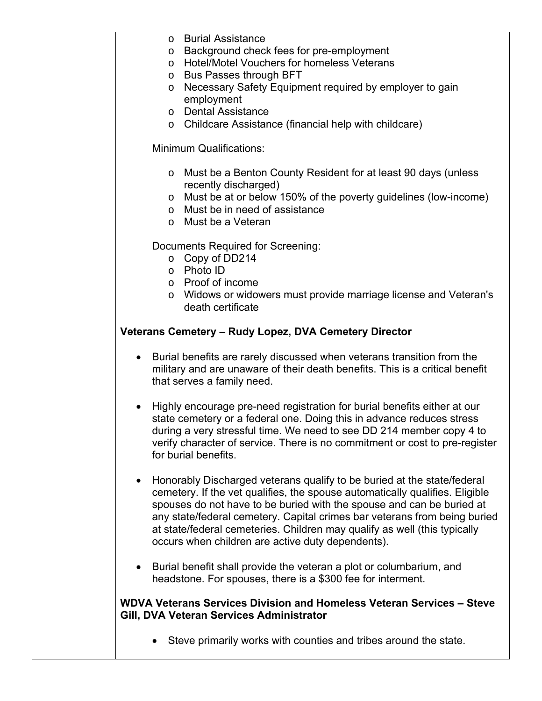| <b>Burial Assistance</b><br>$\circ$                                                                                                                                                                                                                                                                                                                                                                                                             |
|-------------------------------------------------------------------------------------------------------------------------------------------------------------------------------------------------------------------------------------------------------------------------------------------------------------------------------------------------------------------------------------------------------------------------------------------------|
| Background check fees for pre-employment<br>O                                                                                                                                                                                                                                                                                                                                                                                                   |
| <b>Hotel/Motel Vouchers for homeless Veterans</b><br>$\circ$                                                                                                                                                                                                                                                                                                                                                                                    |
| <b>Bus Passes through BFT</b><br>O                                                                                                                                                                                                                                                                                                                                                                                                              |
| Necessary Safety Equipment required by employer to gain<br>$\circ$<br>employment                                                                                                                                                                                                                                                                                                                                                                |
| o Dental Assistance                                                                                                                                                                                                                                                                                                                                                                                                                             |
| o Childcare Assistance (financial help with childcare)                                                                                                                                                                                                                                                                                                                                                                                          |
| <b>Minimum Qualifications:</b>                                                                                                                                                                                                                                                                                                                                                                                                                  |
| Must be a Benton County Resident for at least 90 days (unless<br>$\circ$                                                                                                                                                                                                                                                                                                                                                                        |
| recently discharged)                                                                                                                                                                                                                                                                                                                                                                                                                            |
| Must be at or below 150% of the poverty guidelines (low-income)<br>$\circ$<br>o Must be in need of assistance                                                                                                                                                                                                                                                                                                                                   |
| o Must be a Veteran                                                                                                                                                                                                                                                                                                                                                                                                                             |
| Documents Required for Screening:                                                                                                                                                                                                                                                                                                                                                                                                               |
| $\circ$ Copy of DD214                                                                                                                                                                                                                                                                                                                                                                                                                           |
| o Photo ID                                                                                                                                                                                                                                                                                                                                                                                                                                      |
| o Proof of income                                                                                                                                                                                                                                                                                                                                                                                                                               |
| Widows or widowers must provide marriage license and Veteran's<br>$\circ$<br>death certificate                                                                                                                                                                                                                                                                                                                                                  |
| Veterans Cemetery - Rudy Lopez, DVA Cemetery Director                                                                                                                                                                                                                                                                                                                                                                                           |
| Burial benefits are rarely discussed when veterans transition from the<br>military and are unaware of their death benefits. This is a critical benefit<br>that serves a family need.                                                                                                                                                                                                                                                            |
| Highly encourage pre-need registration for burial benefits either at our<br>$\bullet$<br>state cemetery or a federal one. Doing this in advance reduces stress<br>during a very stressful time. We need to see DD 214 member copy 4 to<br>verify character of service. There is no commitment or cost to pre-register<br>for burial benefits.                                                                                                   |
| Honorably Discharged veterans qualify to be buried at the state/federal<br>cemetery. If the vet qualifies, the spouse automatically qualifies. Eligible<br>spouses do not have to be buried with the spouse and can be buried at<br>any state/federal cemetery. Capital crimes bar veterans from being buried<br>at state/federal cemeteries. Children may qualify as well (this typically<br>occurs when children are active duty dependents). |
| Burial benefit shall provide the veteran a plot or columbarium, and<br>headstone. For spouses, there is a \$300 fee for interment.                                                                                                                                                                                                                                                                                                              |
| WDVA Veterans Services Division and Homeless Veteran Services - Steve<br>Gill, DVA Veteran Services Administrator                                                                                                                                                                                                                                                                                                                               |
| Steve primarily works with counties and tribes around the state.                                                                                                                                                                                                                                                                                                                                                                                |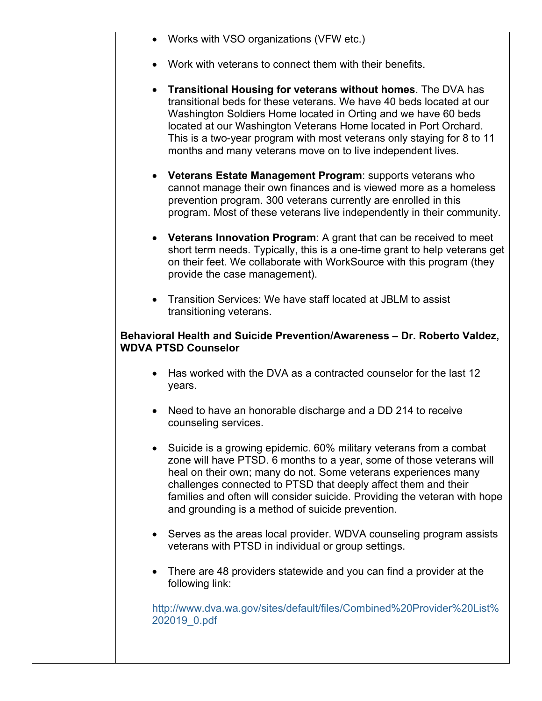|           | • Works with VSO organizations (VFW etc.)                                                                                                                                                                                                                                                                                                                                                                                  |
|-----------|----------------------------------------------------------------------------------------------------------------------------------------------------------------------------------------------------------------------------------------------------------------------------------------------------------------------------------------------------------------------------------------------------------------------------|
|           | Work with veterans to connect them with their benefits.                                                                                                                                                                                                                                                                                                                                                                    |
| $\bullet$ | <b>Transitional Housing for veterans without homes.</b> The DVA has<br>transitional beds for these veterans. We have 40 beds located at our<br>Washington Soldiers Home located in Orting and we have 60 beds<br>located at our Washington Veterans Home located in Port Orchard.<br>This is a two-year program with most veterans only staying for 8 to 11<br>months and many veterans move on to live independent lives. |
| $\bullet$ | <b>Veterans Estate Management Program: supports veterans who</b><br>cannot manage their own finances and is viewed more as a homeless<br>prevention program. 300 veterans currently are enrolled in this<br>program. Most of these veterans live independently in their community.                                                                                                                                         |
|           | • Veterans Innovation Program: A grant that can be received to meet<br>short term needs. Typically, this is a one-time grant to help veterans get<br>on their feet. We collaborate with WorkSource with this program (they<br>provide the case management).                                                                                                                                                                |
| $\bullet$ | Transition Services: We have staff located at JBLM to assist<br>transitioning veterans.                                                                                                                                                                                                                                                                                                                                    |
|           | Behavioral Health and Suicide Prevention/Awareness - Dr. Roberto Valdez,<br><b>WDVA PTSD Counselor</b>                                                                                                                                                                                                                                                                                                                     |
| $\bullet$ | Has worked with the DVA as a contracted counselor for the last 12<br>years.                                                                                                                                                                                                                                                                                                                                                |
| $\bullet$ | Need to have an honorable discharge and a DD 214 to receive<br>counseling services.                                                                                                                                                                                                                                                                                                                                        |
|           | Suicide is a growing epidemic. 60% military veterans from a combat<br>zone will have PTSD. 6 months to a year, some of those veterans will<br>heal on their own; many do not. Some veterans experiences many<br>challenges connected to PTSD that deeply affect them and their<br>families and often will consider suicide. Providing the veteran with hope<br>and grounding is a method of suicide prevention.            |
| ٠         | Serves as the areas local provider. WDVA counseling program assists<br>veterans with PTSD in individual or group settings.                                                                                                                                                                                                                                                                                                 |
|           | There are 48 providers statewide and you can find a provider at the<br>following link:                                                                                                                                                                                                                                                                                                                                     |
|           | http://www.dva.wa.gov/sites/default/files/Combined%20Provider%20List%<br>202019 0.pdf                                                                                                                                                                                                                                                                                                                                      |
|           |                                                                                                                                                                                                                                                                                                                                                                                                                            |